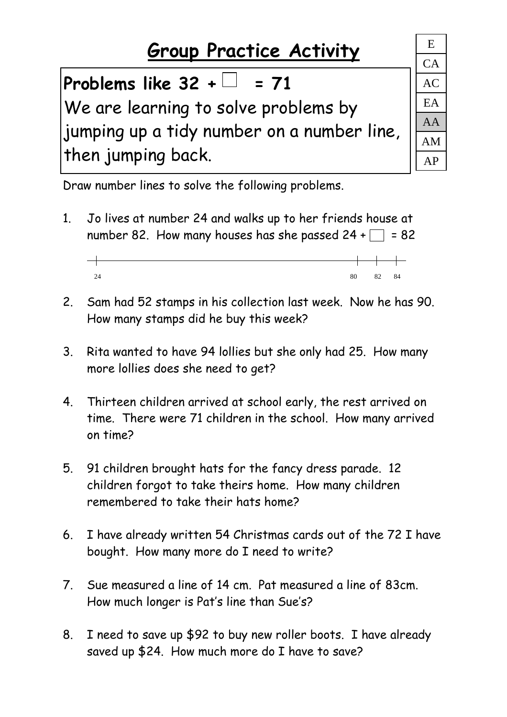## **Group Practice Activity** <sup>E</sup>

## Problems like  $32 + \square = 71$

We are learning to solve problems by jumping up a tidy number on a number line, then jumping back.

CA AC EA AA AM AP

Draw number lines to solve the following problems.

- 1. Jo lives at number 24 and walks up to her friends house at number 82. How many houses has she passed  $24 + \square = 82$ 
	- $\overline{\phantom{0}}$ 24 80 82 84
- 2. Sam had 52 stamps in his collection last week. Now he has 90. How many stamps did he buy this week?
- 3. Rita wanted to have 94 lollies but she only had 25. How many more lollies does she need to get?
- 4. Thirteen children arrived at school early, the rest arrived on time. There were 71 children in the school. How many arrived on time?
- 5. 91 children brought hats for the fancy dress parade. 12 children forgot to take theirs home. How many children remembered to take their hats home?
- 6. I have already written 54 Christmas cards out of the 72 I have bought. How many more do I need to write?
- 7. Sue measured a line of 14 cm. Pat measured a line of 83cm. How much longer is Pat's line than Sue's?
- 8. I need to save up \$92 to buy new roller boots. I have already saved up \$24. How much more do I have to save?